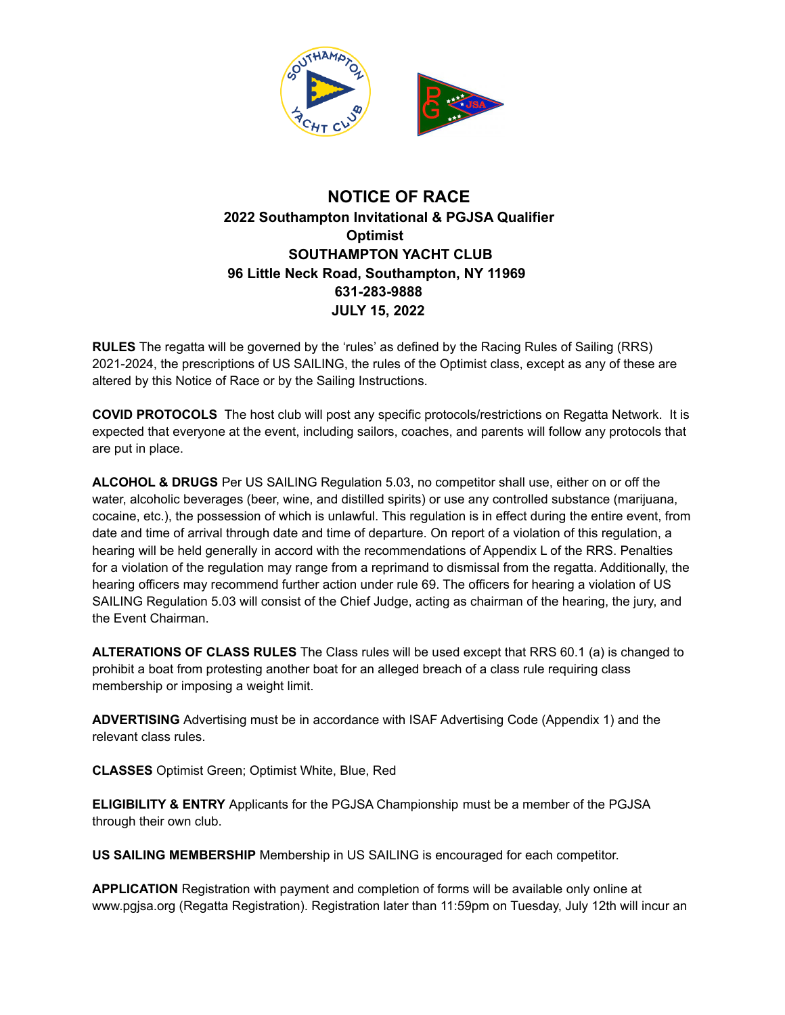

## **NOTICE OF RACE 2022 Southampton Invitational & PGJSA Qualifier Optimist SOUTHAMPTON YACHT CLUB 96 Little Neck Road, Southampton, NY 11969 631-283-9888 JULY 15, 2022**

**RULES** The regatta will be governed by the 'rules' as defined by the Racing Rules of Sailing (RRS) 2021-2024, the prescriptions of US SAILING, the rules of the Optimist class, except as any of these are altered by this Notice of Race or by the Sailing Instructions.

**COVID PROTOCOLS** The host club will post any specific protocols/restrictions on Regatta Network. It is expected that everyone at the event, including sailors, coaches, and parents will follow any protocols that are put in place.

**ALCOHOL & DRUGS** Per US SAILING Regulation 5.03, no competitor shall use, either on or off the water, alcoholic beverages (beer, wine, and distilled spirits) or use any controlled substance (marijuana, cocaine, etc.), the possession of which is unlawful. This regulation is in effect during the entire event, from date and time of arrival through date and time of departure. On report of a violation of this regulation, a hearing will be held generally in accord with the recommendations of Appendix L of the RRS. Penalties for a violation of the regulation may range from a reprimand to dismissal from the regatta. Additionally, the hearing officers may recommend further action under rule 69. The officers for hearing a violation of US SAILING Regulation 5.03 will consist of the Chief Judge, acting as chairman of the hearing, the jury, and the Event Chairman.

**ALTERATIONS OF CLASS RULES** The Class rules will be used except that RRS 60.1 (a) is changed to prohibit a boat from protesting another boat for an alleged breach of a class rule requiring class membership or imposing a weight limit.

**ADVERTISING** Advertising must be in accordance with ISAF Advertising Code (Appendix 1) and the relevant class rules.

**CLASSES** Optimist Green; Optimist White, Blue, Red

**ELIGIBILITY & ENTRY** Applicants for the PGJSA Championship must be a member of the PGJSA through their own club.

**US SAILING MEMBERSHIP** Membership in US SAILING is encouraged for each competitor.

**APPLICATION** Registration with payment and completion of forms will be available only online at www.pgjsa.org (Regatta Registration). Registration later than 11:59pm on Tuesday, July 12th will incur an